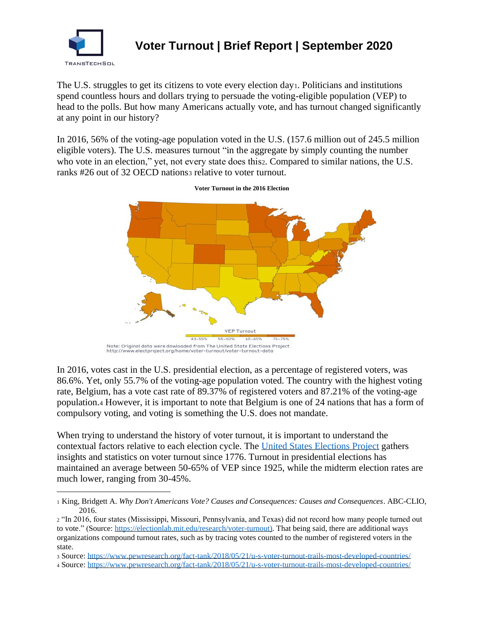

## **Voter Turnout | Brief Report | September 2020**

The U.S. struggles to get its citizens to vote every election day1. Politicians and institutions spend countless hours and dollars trying to persuade the voting-eligible population (VEP) to head to the polls. But how many Americans actually vote, and has turnout changed significantly at any point in our history?

In 2016, 56% of the voting-age population voted in the U.S. (157.6 million out of 245.5 million eligible voters). The U.S. measures turnout "in the aggregate by simply counting the number who vote in an election," yet, not every state does this<sub>2</sub>. Compared to similar nations, the U.S. ranks #26 out of 32 OECD nations<sub>3</sub> relative to voter turnout.



**Voter Turnout in the 2016 Election**

In 2016, votes cast in the U.S. presidential election, as a percentage of registered voters, was 86.6%. Yet, only 55.7% of the voting-age population voted. The country with the highest voting rate, Belgium, has a vote cast rate of 89.37% of registered voters and 87.21% of the voting-age population.<sup>4</sup> However, it is important to note that Belgium is one of 24 nations that has a form of compulsory voting, and voting is something the U.S. does not mandate.

When trying to understand the history of voter turnout, it is important to understand the contextual factors relative to each election cycle. The [United States Elections](http://www.electproject.org/national-1789-present) Project gathers insights and statistics on voter turnout since 1776. Turnout in presidential elections has maintained an average between 50-65% of VEP since 1925, while the midterm election rates are much lower, ranging from 30-45%.

Note: Original data were dowloaded from The United State Elections Project<br>http://www.electproject.org/home/voter-turnout/voter-turnout-data

<sup>1</sup> King, Bridgett A. *Why Don't Americans Vote? Causes and Consequences: Causes and Consequences*. ABC-CLIO, 2016.

<sup>2</sup> "In 2016, four states (Mississippi, Missouri, Pennsylvania, and Texas) did not record how many people turned out to vote." (Source: [https://electionlab.mit.edu/research/voter-turnout\)](https://electionlab.mit.edu/research/voter-turnout). That being said, there are additional ways organizations compound turnout rates, such as by tracing votes counted to the number of registered voters in the state.

<sup>3</sup> Source:<https://www.pewresearch.org/fact-tank/2018/05/21/u-s-voter-turnout-trails-most-developed-countries/>

<sup>4</sup> Source:<https://www.pewresearch.org/fact-tank/2018/05/21/u-s-voter-turnout-trails-most-developed-countries/>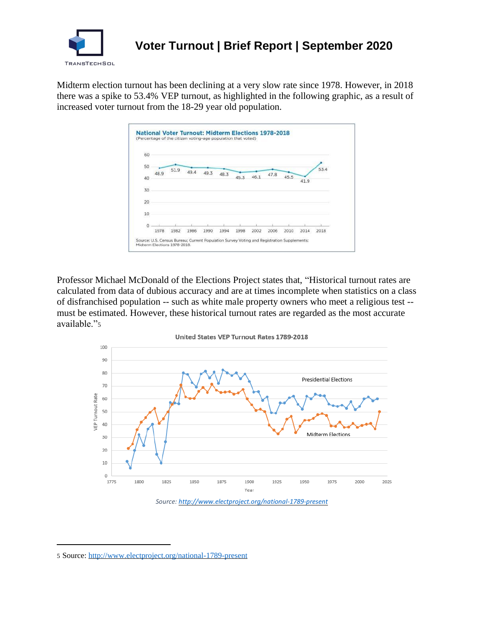

## **Voter Turnout | Brief Report | September 2020**

Midterm election turnout has been declining at a very slow rate since 1978. However, in 2018 there was a spike to 53.4% VEP turnout, as highlighted in the following graphic, as a result of increased voter turnout from the 18-29 year old population.



Professor Michael McDonald of the Elections Project states that, "Historical turnout rates are calculated from data of dubious accuracy and are at times incomplete when statistics on a class of disfranchised population -- such as white male property owners who meet a religious test - must be estimated. However, these historical turnout rates are regarded as the most accurate available."5



<sup>5</sup> Source:<http://www.electproject.org/national-1789-present>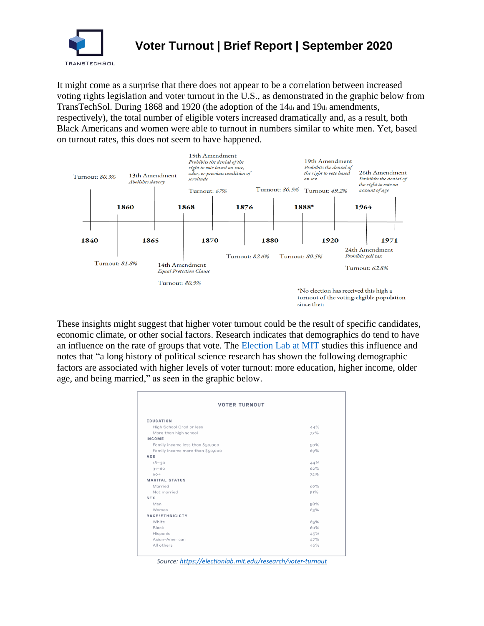

It might come as a surprise that there does not appear to be a correlation between increased voting rights legislation and voter turnout in the U.S., as demonstrated in the graphic below from TransTechSol. During 1868 and 1920 (the adoption of the 14th and 19th amendments, respectively), the total number of eligible voters increased dramatically and, as a result, both Black Americans and women were able to turnout in numbers similar to white men. Yet, based on turnout rates, this does not seem to have happened.



These insights might suggest that higher voter turnout could be the result of specific candidates, economic climate, or other social factors. Research indicates that demographics do tend to have an influence on the rate of groups that vote. The [Election Lab at MIT](https://electionlab.mit.edu/research/voter-turnout) studies this influence and notes that "a [long history of political science research](https://books.google.com/books/about/Who_Votes.html?id=XmspYgn-syYC) has shown the following demographic factors are associated with higher levels of voter turnout: more education, higher income, older age, and being married," as seen in the graphic below.

| <b>VOTER TURNOUT</b>             |     |
|----------------------------------|-----|
| <b>EDUCATION</b>                 |     |
| High School Grad or less         | 44% |
| More than high school            | 77% |
| INCOME                           |     |
| Family income less than \$50,000 | 50% |
| Family income more than \$50,000 | 69% |
| AGE                              |     |
| $18 - 30$                        | 44% |
| $31 - 60$                        | 62% |
| $60+$                            | 72% |
| <b>MARITAL STATUS</b>            |     |
| Married                          | 69% |
| Not married                      | 51% |
| SEX                              |     |
| Men                              | 58% |
| Women                            | 63% |
| RACE/ETHNICICTY                  |     |
| White                            | 65% |
| Black                            | 60% |
| Hispanic                         | 45% |
| Asian-American                   | 47% |
| All others                       | 46% |

*Source[: https://electionlab.mit.edu/research/voter-turnout](https://electionlab.mit.edu/research/voter-turnout)*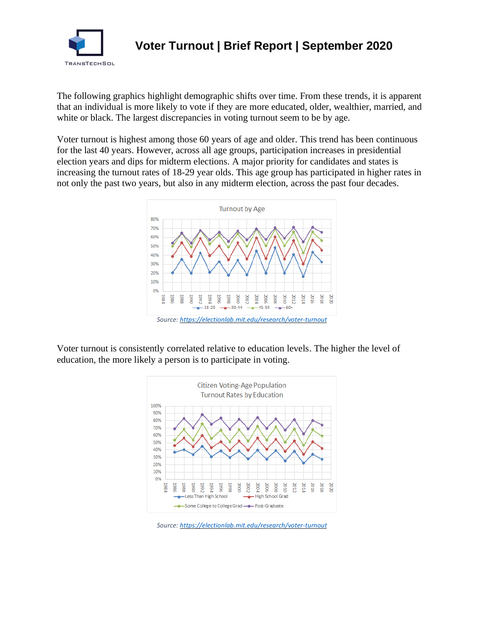

The following graphics highlight demographic shifts over time. From these trends, it is apparent that an individual is more likely to vote if they are more educated, older, wealthier, married, and white or black. The largest discrepancies in voting turnout seem to be by age.

Voter turnout is highest among those 60 years of age and older. This trend has been continuous for the last 40 years. However, across all age groups, participation increases in presidential election years and dips for midterm elections. A major priority for candidates and states is increasing the turnout rates of 18-29 year olds. This age group has participated in higher rates in not only the past two years, but also in any midterm election, across the past four decades.



Voter turnout is consistently correlated relative to education levels. The higher the level of education, the more likely a person is to participate in voting.



*Source[: https://electionlab.mit.edu/research/voter-turnout](https://electionlab.mit.edu/research/voter-turnout)*